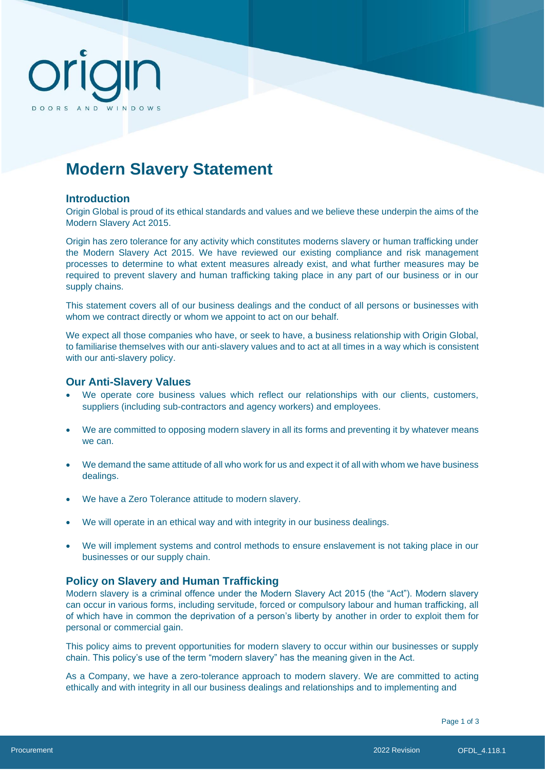# DOORS AND WINDOWS

# **Modern Slavery Statement**

## **Introduction**

Origin Global is proud of its ethical standards and values and we believe these underpin the aims of the Modern Slavery Act 2015.

Origin has zero tolerance for any activity which constitutes moderns slavery or human trafficking under the Modern Slavery Act 2015. We have reviewed our existing compliance and risk management processes to determine to what extent measures already exist, and what further measures may be required to prevent slavery and human trafficking taking place in any part of our business or in our supply chains.

This statement covers all of our business dealings and the conduct of all persons or businesses with whom we contract directly or whom we appoint to act on our behalf.

We expect all those companies who have, or seek to have, a business relationship with Origin Global, to familiarise themselves with our anti-slavery values and to act at all times in a way which is consistent with our anti-slavery policy.

### **Our Anti-Slavery Values**

- We operate core business values which reflect our relationships with our clients, customers, suppliers (including sub-contractors and agency workers) and employees.
- We are committed to opposing modern slavery in all its forms and preventing it by whatever means we can.
- We demand the same attitude of all who work for us and expect it of all with whom we have business dealings.
- We have a Zero Tolerance attitude to modern slavery.
- We will operate in an ethical way and with integrity in our business dealings.
- We will implement systems and control methods to ensure enslavement is not taking place in our businesses or our supply chain.

### **Policy on Slavery and Human Trafficking**

Modern slavery is a criminal offence under the Modern Slavery Act 2015 (the "Act"). Modern slavery can occur in various forms, including servitude, forced or compulsory labour and human trafficking, all of which have in common the deprivation of a person's liberty by another in order to exploit them for personal or commercial gain.

This policy aims to prevent opportunities for modern slavery to occur within our businesses or supply chain. This policy's use of the term "modern slavery" has the meaning given in the Act.

As a Company, we have a zero-tolerance approach to modern slavery. We are committed to acting ethically and with integrity in all our business dealings and relationships and to implementing and

Page 1 of 3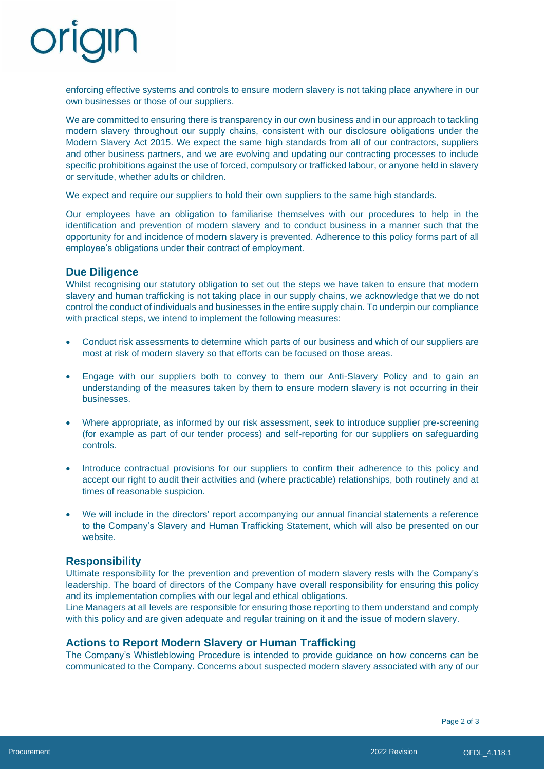enforcing effective systems and controls to ensure modern slavery is not taking place anywhere in our own businesses or those of our suppliers.

We are committed to ensuring there is transparency in our own business and in our approach to tackling modern slavery throughout our supply chains, consistent with our disclosure obligations under the Modern Slavery Act 2015. We expect the same high standards from all of our contractors, suppliers and other business partners, and we are evolving and updating our contracting processes to include specific prohibitions against the use of forced, compulsory or trafficked labour, or anyone held in slavery or servitude, whether adults or children.

We expect and require our suppliers to hold their own suppliers to the same high standards.

Our employees have an obligation to familiarise themselves with our procedures to help in the identification and prevention of modern slavery and to conduct business in a manner such that the opportunity for and incidence of modern slavery is prevented. Adherence to this policy forms part of all employee's obligations under their contract of employment.

## **Due Diligence**

Whilst recognising our statutory obligation to set out the steps we have taken to ensure that modern slavery and human trafficking is not taking place in our supply chains, we acknowledge that we do not control the conduct of individuals and businesses in the entire supply chain. To underpin our compliance with practical steps, we intend to implement the following measures:

- Conduct risk assessments to determine which parts of our business and which of our suppliers are most at risk of modern slavery so that efforts can be focused on those areas.
- Engage with our suppliers both to convey to them our Anti-Slavery Policy and to gain an understanding of the measures taken by them to ensure modern slavery is not occurring in their businesses.
- Where appropriate, as informed by our risk assessment, seek to introduce supplier pre-screening (for example as part of our tender process) and self-reporting for our suppliers on safeguarding controls.
- Introduce contractual provisions for our suppliers to confirm their adherence to this policy and accept our right to audit their activities and (where practicable) relationships, both routinely and at times of reasonable suspicion.
- We will include in the directors' report accompanying our annual financial statements a reference to the Company's Slavery and Human Trafficking Statement, which will also be presented on our website.

## **Responsibility**

Ultimate responsibility for the prevention and prevention of modern slavery rests with the Company's leadership. The board of directors of the Company have overall responsibility for ensuring this policy and its implementation complies with our legal and ethical obligations.

Line Managers at all levels are responsible for ensuring those reporting to them understand and comply with this policy and are given adequate and regular training on it and the issue of modern slavery.

## **Actions to Report Modern Slavery or Human Trafficking**

The Company's Whistleblowing Procedure is intended to provide guidance on how concerns can be communicated to the Company. Concerns about suspected modern slavery associated with any of our

Page 2 of 3